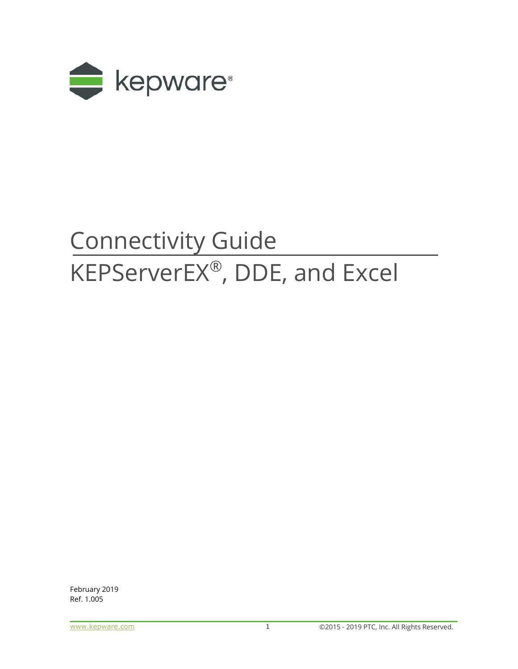

# Connectivity Guide KEPServerEX®, DDE, and Excel

February 2019 Ref. 1.005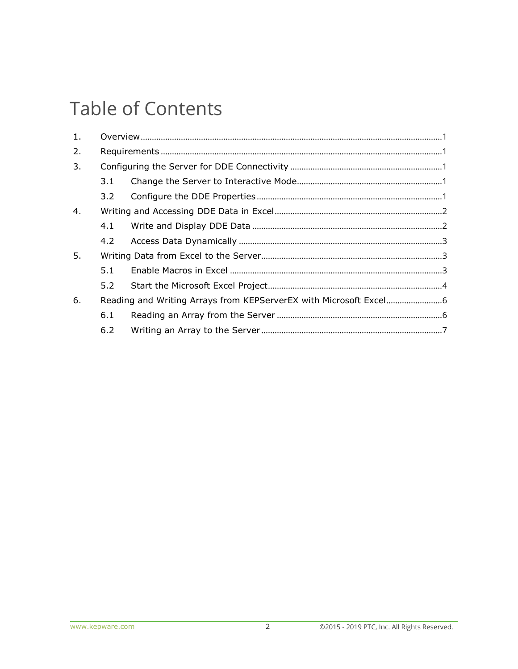## **Table of Contents**

| 1. |     |  |
|----|-----|--|
| 2. |     |  |
| 3. |     |  |
|    | 3.1 |  |
|    | 3.2 |  |
| 4. |     |  |
|    | 4.1 |  |
|    |     |  |
| 5. |     |  |
|    | 5.1 |  |
|    | 5.2 |  |
| 6. |     |  |
|    | 6.1 |  |
|    | 6.2 |  |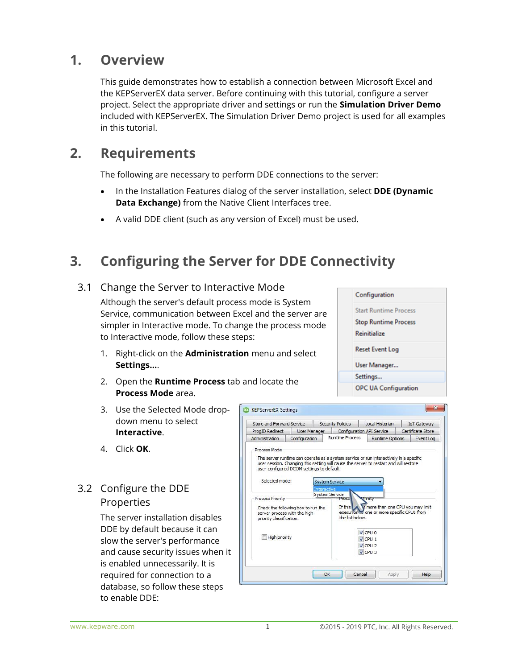### <span id="page-2-0"></span>**1. Overview**

This guide demonstrates how to establish a connection between Microsoft Excel and the KEPServerEX data server. Before continuing with this tutorial, configure a server project. Select the appropriate driver and settings or run the **Simulation Driver Demo** included with KEPServerEX. The Simulation Driver Demo project is used for all examples in this tutorial.

## <span id="page-2-1"></span>**2. Requirements**

The following are necessary to perform DDE connections to the server:

- In the Installation Features dialog of the server installation, select **DDE (Dynamic Data Exchange)** from the Native Client Interfaces tree.
- A valid DDE client (such as any version of Excel) must be used.

## <span id="page-2-2"></span>**3. Configuring the Server for DDE Connectivity**

#### 3.1 Change the Server to Interactive Mode

<span id="page-2-3"></span>Although the server's default process mode is System Service, communication between Excel and the server are simpler in Interactive mode. To change the process mode to Interactive mode, follow these steps:

- 1. Right-click on the **Administration** menu and select **Settings…**.
- 2. Open the **Runtime Process** tab and locate the **Process Mode** area.
- 3. Use the Selected Mode dropdown menu to select **Interactive**.
- 4. Click **OK**.

#### <span id="page-2-4"></span>3.2 Configure the DDE Properties

The server installation disables DDE by default because it can slow the server's performance and cause security issues when it is enabled unnecessarily. It is required for connection to a database, so follow these steps to enable DDE:



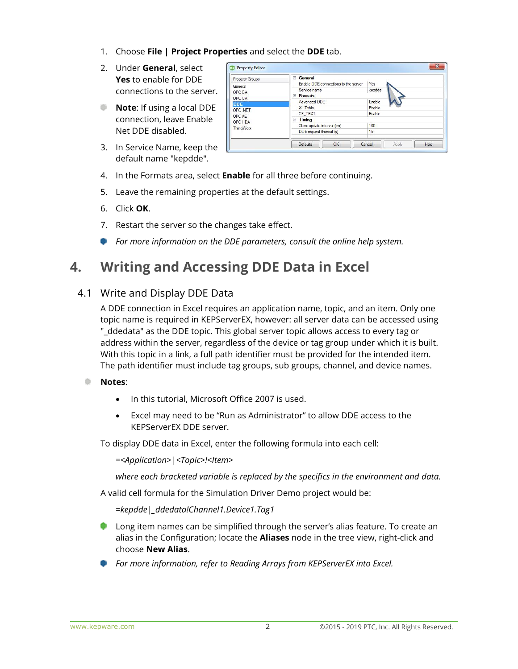- 1. Choose **File | Project Properties** and select the **DDE** tab.
- 2. Under **General**, select **Yes** to enable for DDE connections to the server.
- **Note:** If using a local DDE connection, leave Enable Net DDE disabled.
- 3. In Service Name, keep the default name "kepdde".

| <b>Property Groups</b><br>General<br>OPC DA<br>OPC UA<br><b>DDE</b><br>OPC NET | General<br>$\Box$                    |        |  |  |  |  |  |  |
|--------------------------------------------------------------------------------|--------------------------------------|--------|--|--|--|--|--|--|
|                                                                                | Enable DDE connections to the server | Yes    |  |  |  |  |  |  |
|                                                                                | Service name                         | kepdde |  |  |  |  |  |  |
|                                                                                | <b>Formats</b><br>$\equiv$           |        |  |  |  |  |  |  |
|                                                                                | Advanced DDE                         | Enable |  |  |  |  |  |  |
|                                                                                | XL Table                             | Enable |  |  |  |  |  |  |
| OPC AE                                                                         | CF_TEXT                              | Enable |  |  |  |  |  |  |
| OPC HDA                                                                        | Θ<br><b>Timing</b>                   |        |  |  |  |  |  |  |
| <b>ThingWorx</b>                                                               | Client update interval (ms)          | 100    |  |  |  |  |  |  |
|                                                                                | DDE request timeout (s)              | 15     |  |  |  |  |  |  |

- 4. In the Formats area, select **Enable** for all three before continuing.
- 5. Leave the remaining properties at the default settings.
- 6. Click **OK**.
- 7. Restart the server so the changes take effect.
- *For more information on the DDE parameters, consult the online help system.*

## <span id="page-3-0"></span>**4. Writing and Accessing DDE Data in Excel**

#### <span id="page-3-1"></span>4.1 Write and Display DDE Data

A DDE connection in Excel requires an application name, topic, and an item. Only one topic name is required in KEPServerEX, however: all server data can be accessed using "\_ddedata" as the DDE topic. This global server topic allows access to every tag or address within the server, regardless of the device or tag group under which it is built. With this topic in a link, a full path identifier must be provided for the intended item. The path identifier must include tag groups, sub groups, channel, and device names.

- **Notes**:
	- In this tutorial, Microsoft Office 2007 is used.
	- Excel may need to be "Run as Administrator" to allow DDE access to the KEPServerEX DDE server.

To display DDE data in Excel, enter the following formula into each cell:

*=<Application>|<Topic>!<Item>*

*where each bracketed variable is replaced by the specifics in the environment and data.*

A valid cell formula for the Simulation Driver Demo project would be:

*=kepdde|\_ddedata!Channel1.Device1.Tag1*

- **Long item names can be simplified through the server's alias feature. To create an** alias in the Configuration; locate the **Aliases** node in the tree view, right-click and choose **New Alias**.
- *For more information, refer to Reading Arrays from KEPServerEX into Excel.*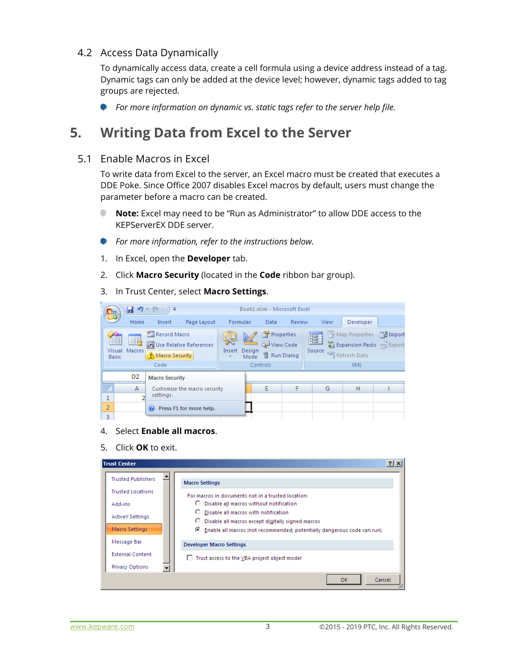#### <span id="page-4-0"></span>4.2 Access Data Dynamically

To dynamically access data, create a cell formula using a device address instead of a tag. Dynamic tags can only be added at the device level; however, dynamic tags added to tag groups are rejected.

*For more information on dynamic vs. static tags refer to the server help file.*

## <span id="page-4-1"></span>**5. Writing Data from Excel to the Server**

#### <span id="page-4-2"></span>5.1 Enable Macros in Excel

To write data from Excel to the server, an Excel macro must be created that executes a DDE Poke. Since Office 2007 disables Excel macros by default, users must change the parameter before a macro can be created.

- **Note:** Excel may need to be "Run as Administrator" to allow DDE access to the ٠ KEPServerEX DDE server.
- *For more information, refer to the instructions below.*
- 1. In Excel, open the **Developer** tab.
- 2. Click **Macro Security** (located in the **Code** ribbon bar group).

3. In Trust Center, select **Macro Settings**.

| 83 | 日り                                                | $\mathbf{v} = \begin{bmatrix} \sum_{i=1}^{n} & \cdots & \cdots & \sum_{i=1}^{n} \\ \vdots & \vdots & \ddots & \vdots \\ \vdots & \ddots & \vdots & \ddots \end{bmatrix}$<br>। ∓ |                                  |                 |                     |                                                            | Book1.xlsm - Microsoft Excel |             |                                                                       |               |
|----|---------------------------------------------------|---------------------------------------------------------------------------------------------------------------------------------------------------------------------------------|----------------------------------|-----------------|---------------------|------------------------------------------------------------|------------------------------|-------------|-----------------------------------------------------------------------|---------------|
|    | Home                                              | Insert                                                                                                                                                                          | Page Layout                      | <b>Formulas</b> |                     | Data                                                       | Review                       | View        | Developer                                                             |               |
|    | 33 E<br>fi<br>里力<br>Visual Macros<br><b>Basic</b> | <b>Record Macro</b><br>Macro Security<br>Code                                                                                                                                   | Use Relative References          | Insert          | K<br>Design<br>Mode | Properties<br>View Code<br><b>間 Run Dialog</b><br>Controls |                              | 冒<br>Source | Map Properties<br>Expansion Packs @ Export<br><@} Refresh Data<br>XML | $\Box$ Import |
|    | D <sub>2</sub>                                    | <b>Macro Security</b>                                                                                                                                                           |                                  |                 |                     |                                                            |                              |             |                                                                       |               |
|    | A                                                 |                                                                                                                                                                                 | Customize the macro security     |                 |                     | E                                                          | F                            | G           | H                                                                     |               |
| ۰  |                                                   | settings.                                                                                                                                                                       |                                  |                 |                     |                                                            |                              |             |                                                                       |               |
| 2  |                                                   |                                                                                                                                                                                 | <b>O</b> Press F1 for more help. |                 |                     |                                                            |                              |             |                                                                       |               |
| 3  |                                                   |                                                                                                                                                                                 |                                  |                 |                     |                                                            |                              |             |                                                                       |               |

- 4. Select **Enable all macros**.
- 5. Click **OK** to exit.

| <b>Trust Center</b>       |                                                                                                   | $ ?  \times$ |
|---------------------------|---------------------------------------------------------------------------------------------------|--------------|
| <b>Trusted Publishers</b> | <b>Macro Settings</b>                                                                             |              |
| <b>Trusted Locations</b>  | For macros in documents not in a trusted location:                                                |              |
| Add-ins                   | Disable all macros without notification<br>О.                                                     |              |
| <b>ActiveX Settings</b>   | C Disable all macros with notification<br>О.<br>Disable all macros except digitally signed macros |              |
| <b>Macro Settings</b>     | © Enable all macros (not recommended; potentially dangerous code can run)                         |              |
| Message Bar               | <b>Developer Macro Settings</b>                                                                   |              |
| <b>External Content</b>   | Trust access to the VBA project object model                                                      |              |
| <b>Privacy Options</b>    |                                                                                                   |              |
|                           | OK                                                                                                | Cancel       |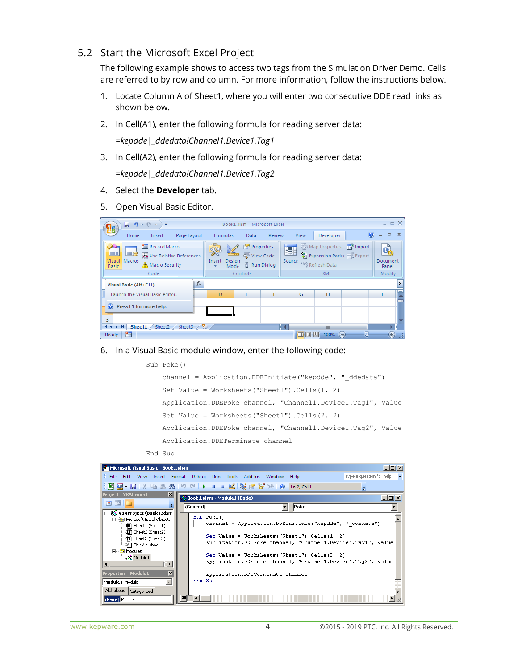#### <span id="page-5-0"></span>5.2 Start the Microsoft Excel Project

The following example shows to access two tags from the Simulation Driver Demo. Cells are referred to by row and column. For more information, follow the instructions below.

- 1. Locate Column A of Sheet1, where you will enter two consecutive DDE read links as shown below.
- 2. In Cell(A1), enter the following formula for reading server data:

*=kepdde|\_ddedata!Channel1.Device1.Tag1*

3. In Cell(A2), enter the following formula for reading server data:

*=kepdde|\_ddedata!Channel1.Device1.Tag2*

- 4. Select the **Developer** tab.
- 5. Open Visual Basic Editor.

| $-$ (%)<br>圴<br>Ы<br>₹<br>덇                                                                                                    |       |                                | Book1.xlsm - Microsoft Excel                        |        |             |                                                 |                                                  | $\equiv$ $\times$                   |
|--------------------------------------------------------------------------------------------------------------------------------|-------|--------------------------------|-----------------------------------------------------|--------|-------------|-------------------------------------------------|--------------------------------------------------|-------------------------------------|
| Page Layout<br>Home<br>Insert                                                                                                  |       | <b>Formulas</b>                | Data                                                | Review | View        | Developer                                       | Ø                                                | 画<br>$\mathbf{x}$                   |
| <b>Record Macro</b><br>Œ<br><u>B,</u><br>Use Relative References<br>Macros<br>Visual<br>Macro Security<br><b>Basic</b><br>Code |       | Ý.<br>Insert<br>Design<br>Mode | Properties<br>View Code<br>司 Run Dialog<br>Controls |        | 冒<br>Source | Map Properties<br><@>Refresh Data<br><b>XML</b> | ■ Import<br>Expansion Packs <sup>on</sup> Export | O,<br>Document<br>Panel<br>Modify   |
| Visual Basic (Alt+F11)                                                                                                         | $f_x$ |                                |                                                     |        |             |                                                 |                                                  | ١¥                                  |
| Launch the Visual Basic editor.                                                                                                |       | D                              | E                                                   | F      | G           | н                                               |                                                  |                                     |
| Press F1 for more help.<br>$\circ$<br>3                                                                                        |       |                                |                                                     |        |             |                                                 |                                                  |                                     |
| Sheet3<br>$H - 4$<br>Ħ<br>Sheet1<br>Sheet2                                                                                     | 언     |                                |                                                     | D.     |             | Ш                                               |                                                  |                                     |
| P.<br>Ready                                                                                                                    |       |                                |                                                     |        | 田回          | 囸<br>100%<br>Œ                                  |                                                  | $\left( \mathbf{t}\right)$<br>$-15$ |

6. In a Visual Basic module window, enter the following code:

```
Sub Poke()
channel = Application.DDEInitiate("kepdde", " ddedata")
 Set Value = Worksheets("Sheet1").Cells(1, 2)
 Application.DDEPoke channel, "Channel1.Device1.Tag1", Value
 Set Value = Worksheets("Sheet1").Cells(2, 2)
 Application.DDEPoke channel, "Channel1.Device1.Tag2", Value
 Application.DDETerminate channel
```
End Sub

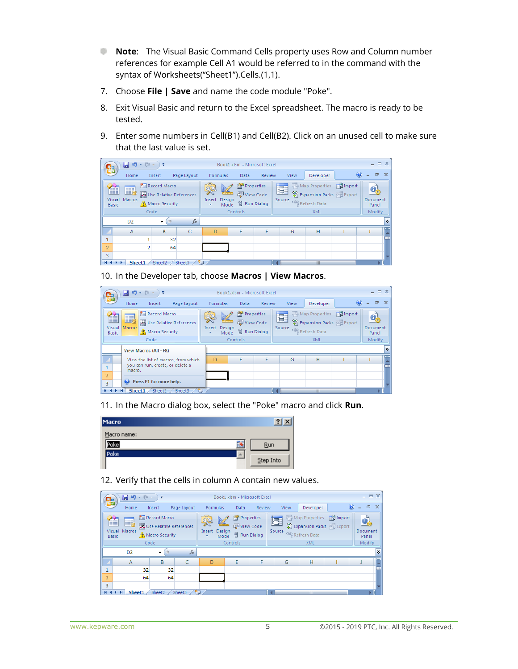- **Note:** The Visual Basic Command Cells property uses Row and Column number references for example Cell A1 would be referred to in the command with the syntax of Worksheets("Sheet1").Cells.(1,1).
- 7. Choose **File | Save** and name the code module "Poke".
- 8. Exit Visual Basic and return to the Excel spreadsheet. The macro is ready to be tested.
- 9. Enter some numbers in Cell(B1) and Cell(B2). Click on an unused cell to make sure that the last value is set.

| <u>С.э</u>        | Ы<br>תי<br>$\mathbf{r}$   | $6$  | Ψ                                                         |              |                                                  | Book1.xlsm - Microsoft Excel |              |             |                                    |                                      | $ \Box$ $\times$              |             |
|-------------------|---------------------------|------|-----------------------------------------------------------|--------------|--------------------------------------------------|------------------------------|--------------|-------------|------------------------------------|--------------------------------------|-------------------------------|-------------|
|                   | Home                      |      | Insert                                                    | Page Layout  | Formulas                                         | Data                         | Review       | View        | Developer                          |                                      | $\boldsymbol{c}$<br>$\Box$    | $\mathbf x$ |
| <b>Basic</b>      | fl<br>e,<br>Visual Macros |      | Record Macro<br>Use Relative References<br>Macro Security |              | $\frac{1}{\sqrt{2}}$<br>Insert<br>Design<br>Mode | Properties<br>View Code      | 图 Run Dialog | 冒<br>Source | Map Properties<br><@} Refresh Data | ■ Import<br>Expansion Packs @ Export | <b>O</b><br>Document<br>Panel |             |
|                   |                           | Code |                                                           |              |                                                  | Controls                     |              |             | <b>XML</b>                         |                                      | Modify                        |             |
|                   | D <sub>2</sub>            |      | ▼                                                         | $f_x$        |                                                  |                              |              |             |                                    |                                      |                               | ١¥          |
|                   | A                         |      | B                                                         | C            | D                                                | E                            | F            | G           | н                                  |                                      |                               |             |
| ×.<br>÷           |                           |      | 32                                                        |              |                                                  |                              |              |             |                                    |                                      |                               |             |
| $\overline{2}$    |                           |      | 64                                                        |              |                                                  |                              |              |             |                                    |                                      |                               |             |
| 3                 |                           |      |                                                           |              |                                                  |                              |              |             |                                    |                                      |                               |             |
| $H \rightarrow F$ | Sheet1                    |      | Sheet <sub>2</sub>                                        | やコ<br>Sheet3 |                                                  |                              |              | п           | <b>III</b>                         |                                      |                               |             |

10. In the Developer tab, choose **Macros | View Macros**.

| <mark>e</mark> a            | $-$ [N<br>Ы<br><b>LO</b><br>≂                                             |   |                                                  | Book1.xlsm - Microsoft Excel |               |             |                  |                                                                       | $ =$ $\times$           |              |
|-----------------------------|---------------------------------------------------------------------------|---|--------------------------------------------------|------------------------------|---------------|-------------|------------------|-----------------------------------------------------------------------|-------------------------|--------------|
|                             | Home<br>Page Layout<br>Insert                                             |   | <b>Formulas</b>                                  | Data                         | <b>Review</b> | View        | Developer        | $\odot$                                                               | 司                       | $\mathbf{x}$ |
| ▦<br>Visual<br><b>Basic</b> | Record Macro<br>国为<br>Use Relative References<br>Macros<br>Macro Security |   | $\frac{1}{\sqrt{2}}$<br>Insert<br>Design<br>Mode | Properties<br>View Code      | 司 Run Dialog  | 冒<br>Source | <@} Refresh Data | Map Properties <b>Palmport</b><br>Expansion Packs <sup>@ Export</sup> | O,<br>Document<br>Panel |              |
|                             | Code                                                                      |   |                                                  | Controls                     |               |             | <b>XML</b>       |                                                                       | Modify                  |              |
|                             | View Macros (Alt+F8)                                                      |   |                                                  |                              |               |             |                  |                                                                       |                         | ١¥           |
|                             | View the list of macros, from which                                       |   | D                                                | E                            | F             | G           | H                |                                                                       |                         |              |
| $\mathbf{1}$                | you can run, create, or delete a<br>macro.                                |   |                                                  |                              |               |             |                  |                                                                       |                         |              |
| $\overline{2}$<br>3         | C Press F1 for more help.                                                 |   |                                                  |                              |               |             |                  |                                                                       |                         |              |
| $14 - 4$                    | Sheet2<br>Sheet1<br>Sheet3                                                | ℃ |                                                  |                              |               |             | <b>III</b>       |                                                                       |                         |              |

11. In the Macro dialog box, select the "Poke" macro and click **Run**.

| Macro       | $\overline{\mathbf{?}}$ |
|-------------|-------------------------|
| Macro name: |                         |
| <u>'oke</u> | Run                     |
| Poke        | Step Into               |

12. Verify that the cells in column A contain new values.

| С.э               | Ы<br>叼                                   | <b>CM</b><br>÷                                            |    |             |          | Book1.xlsm - Microsoft Excel                              |                         |             |                                                                |               | $\equiv$ $\times$<br>- |           |
|-------------------|------------------------------------------|-----------------------------------------------------------|----|-------------|----------|-----------------------------------------------------------|-------------------------|-------------|----------------------------------------------------------------|---------------|------------------------|-----------|
|                   | Home                                     | Insert                                                    |    | Page Layout | Formulas | Data                                                      | Review                  | View        | Developer                                                      |               | 司                      | $\propto$ |
|                   | e,<br>Æ<br>Visual Macros<br><b>Basic</b> | Record Macro<br>Use Relative References<br>Macro Security |    |             | Insert   | Properties<br>$\mathbb{Z}$<br>View Code<br>Design<br>Mode | <sup>司</sup> Run Dialog | 冒<br>Source | Map Properties<br>Expansion Packs @ Export<br><@} Refresh Data | - Hell Import | Document<br>Panel      |           |
|                   |                                          | Code                                                      |    |             |          | Controls                                                  |                         |             | <b>XML</b>                                                     |               | Modify                 |           |
|                   | D <sub>2</sub>                           | ۰                                                         |    | $f_x$       |          |                                                           |                         |             |                                                                |               |                        | <b>v</b>  |
|                   | Α                                        | B                                                         |    | c           | D        | E                                                         | F                       | G           | н                                                              |               |                        |           |
| 1                 |                                          | 32                                                        | 32 |             |          |                                                           |                         |             |                                                                |               |                        |           |
| $\overline{2}$    |                                          | 64                                                        | 64 |             |          |                                                           |                         |             |                                                                |               |                        |           |
| 3                 |                                          |                                                           |    |             |          |                                                           |                         |             |                                                                |               |                        |           |
| $H \rightarrow F$ | Sheet1                                   | Sheet2                                                    |    | Sheet3      |          |                                                           |                         |             | Ш                                                              |               |                        |           |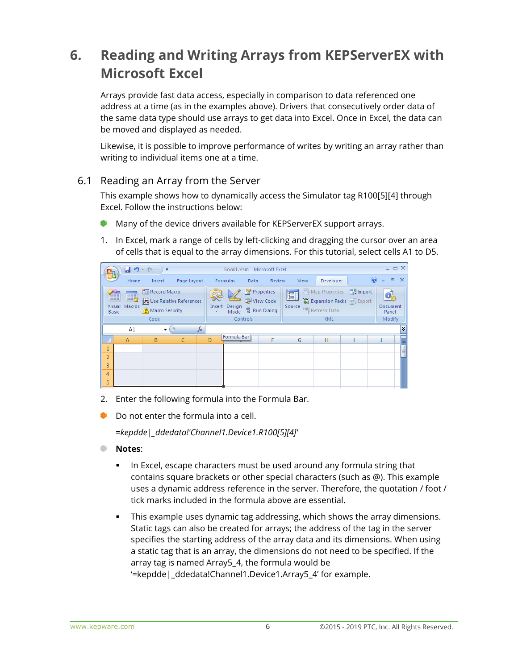## <span id="page-7-0"></span>**6. Reading and Writing Arrays from KEPServerEX with Microsoft Excel**

Arrays provide fast data access, especially in comparison to data referenced one address at a time (as in the examples above). Drivers that consecutively order data of the same data type should use arrays to get data into Excel. Once in Excel, the data can be moved and displayed as needed.

Likewise, it is possible to improve performance of writes by writing an array rather than writing to individual items one at a time.

#### <span id="page-7-1"></span>6.1 Reading an Array from the Server

This example shows how to dynamically access the Simulator tag R100[5][4] through Excel. Follow the instructions below:

- **Many of the device drivers available for KEPServerEX support arrays.**
- 1. In Excel, mark a range of cells by left-clicking and dragging the cursor over an area of cells that is equal to the array dimensions. For this tutorial, select cells A1 to D5.

| 뵯              | Ы<br>圴                                  | $\sim$<br>₹<br>$\overline{\phantom{a}}$<br>$\mathcal{M}$ |                         |        |                                        |                         | Book1.xlsm - Microsoft Excel |             |                                    |                                                  |                   | $ =$ $\times$ |
|----------------|-----------------------------------------|----------------------------------------------------------|-------------------------|--------|----------------------------------------|-------------------------|------------------------------|-------------|------------------------------------|--------------------------------------------------|-------------------|---------------|
|                | Home                                    | Insert                                                   | Page Layout             |        | Formulas                               | Data                    | Review                       | View        | Developer                          |                                                  | $\Box$<br>$\odot$ | $\mathbf x$   |
|                | 曳<br>Ħ<br>Visual Macros<br><b>Basic</b> | <b>Record Macro</b><br>Macro Security                    | Use Relative References | Insert | $\frac{1}{\sqrt{2}}$<br>Design<br>Mode | Properties<br>View Code | <b>웹 Run Dialog</b>          | 冒<br>Source | Map Properties<br><@} Refresh Data | ■ Import<br>Expansion Packs <sup>on</sup> Export | Document<br>Panel |               |
|                |                                         | Code                                                     |                         |        |                                        | Controls                |                              |             | XML                                |                                                  | Modify            |               |
|                | A1                                      | ▼                                                        |                         | $f_x$  |                                        |                         |                              |             |                                    |                                                  |                   | ¥             |
|                | $\overline{A}$                          | B                                                        | C                       | D      | Formula Bar                            |                         | F                            | G           | н                                  |                                                  |                   |               |
| $\mathbf{1}$   |                                         |                                                          |                         |        |                                        |                         |                              |             |                                    |                                                  |                   | E             |
| $\overline{2}$ |                                         |                                                          |                         |        |                                        |                         |                              |             |                                    |                                                  |                   |               |
| 3              |                                         |                                                          |                         |        |                                        |                         |                              |             |                                    |                                                  |                   |               |
| 4              |                                         |                                                          |                         |        |                                        |                         |                              |             |                                    |                                                  |                   |               |
| 5              |                                         |                                                          |                         |        |                                        |                         |                              |             |                                    |                                                  |                   |               |

- 2. Enter the following formula into the Formula Bar.
- Do not enter the formula into a cell.

*=kepdde|\_ddedata!'Channel1.Device1.R100[5][4]'*

- **Notes**:
	- In Excel, escape characters must be used around any formula string that contains square brackets or other special characters (such as @). This example uses a dynamic address reference in the server. Therefore, the quotation / foot / tick marks included in the formula above are essential.
	- This example uses dynamic tag addressing, which shows the array dimensions. Static tags can also be created for arrays; the address of the tag in the server specifies the starting address of the array data and its dimensions. When using a static tag that is an array, the dimensions do not need to be specified. If the array tag is named Array5\_4, the formula would be '=kepdde|\_ddedata!Channel1.Device1.Array5\_4' for example.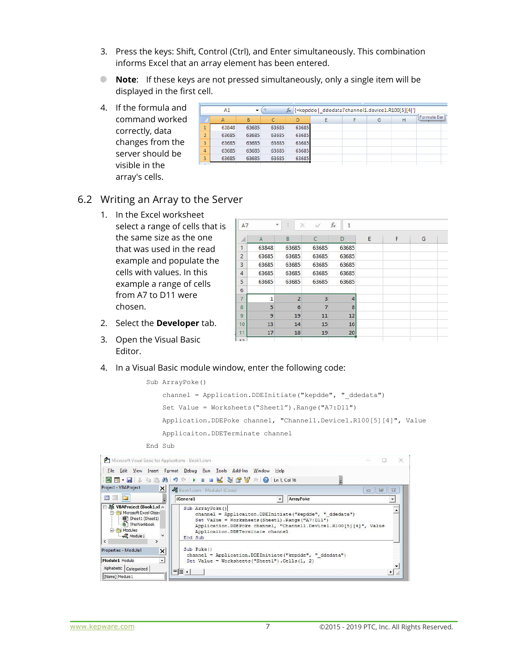- 3. Press the keys: Shift, Control (Ctrl), and Enter simultaneously. This combination informs Excel that an array element has been entered.
- **Note**: If these keys are not pressed simultaneously, only a single item will be displayed in the first cell.
- 4. If the formula and  $command$  worke correctly, data changes from the server should be visible in the array's cells.

| d |                | A1    | $\overline{\phantom{a}}$ |       | $f_x$ | {=kepdde  ddedata!'channel1.device1.R100[5][4]'} |   |   |             |
|---|----------------|-------|--------------------------|-------|-------|--------------------------------------------------|---|---|-------------|
| d |                | А     | B                        |       | D     | Ε                                                | Ġ | н | Formula Bar |
|   | <b>A</b><br>Ŧ  | 63848 | 63685                    | 63685 | 63685 |                                                  |   |   |             |
|   | $\overline{2}$ | 63685 | 63685                    | 63685 | 63685 |                                                  |   |   |             |
|   | 3              | 63685 | 63685                    | 63685 | 63685 |                                                  |   |   |             |
|   | 4              | 63685 | 63685                    | 63685 | 63685 |                                                  |   |   |             |
|   | 5              | 63685 | 63685                    | 63685 | 63685 |                                                  |   |   |             |
|   |                |       |                          |       |       |                                                  |   |   |             |

#### <span id="page-8-0"></span>6.2 Writing an Array to the Server

1. In the Excel worksheet select a range of cells that is the same size as the one that was used in the read example and populate the cells with values. In this example a range of cells from A7 to D11 were chosen.

| A7             | w            |                 |                | fx<br>1        |   |   |   |
|----------------|--------------|-----------------|----------------|----------------|---|---|---|
| A              | A            | B               | $\epsilon$     | D              | E | F | G |
| 1              | 63848        | 63685           | 63685          | 63685          |   |   |   |
| $\overline{2}$ | 63685        | 63685           | 63685          | 63685          |   |   |   |
| 3              | 63685        | 63685           | 63685          | 63685          |   |   |   |
| $\overline{4}$ | 63685        | 63685           | 63685          | 63685          |   |   |   |
| 5              | 63685        | 63685           | 63685          | 63685          |   |   |   |
| 6              |              |                 |                |                |   |   |   |
| 7              | $\mathbf{1}$ | $\overline{2}$  | $\overline{3}$ | $\overline{4}$ |   |   |   |
| 8              | 5            | $6\phantom{1}6$ | $\overline{7}$ | 8              |   |   |   |
| 9              | 9            | 19              | 11             | 12             |   |   |   |
| 10             | 13           | 14              | 15             | 16             |   |   |   |
| 空空<br>13       | 17           | 18              | 19             | 20             |   |   |   |
| <b>Service</b> |              |                 |                |                |   |   |   |

2. Select the **Developer** tab.

 $= 1$ 

3. Open the Visual Basic Editor.

#### 4. In a Visual Basic module window, enter the following code:

```
Sub ArrayPoke()
channel = Application. DDEInitiate ("kepdde", " ddedata")
 Set Value = Worksheets("Sheet1").Range("A7:D11")
 Application.DDEPoke channel, "Channel1.Device1.R100[5][4]", Value
 Applicaiton.DDETerminate channel
```
End SubMicrosoft Visual Basic for Applications - Book1.xlsm  $\Box$  $\times$ File Edit View Insert Format Debug Run Tools Add-Ins Window Help 图图·日本中国出口(I ) H I 区域合容 (O Ln1, Col16 Project - VBAProject X Book1.xlsm - Module1 (Code)  $\begin{tabular}{|c|c|c|c|c|} \hline \quad & \quad & \quad \quad & \quad \quad & \quad \quad \\ \hline \quad \quad & \quad & \quad \quad & \quad \quad \\ \hline \quad \quad & \quad & \quad \quad & \quad \quad \\ \hline \end{tabular}$ eela (General)  $\overline{\phantom{a}}$  ArrayPoke  $\overline{\cdot}$ B & VBAProject (Book1.xl ∧ Sub ArrayPoke()  $\overline{\phantom{a}}$ Microsoft Excel Objec channel = Applicaiton.DDEInitiate("kepdde", "\_ddedata")<br>Set Value = Worksheets(Sheet1).Range("A7:D11") Application.DDEPoke channel, "Channel1.Device1.R100[5][4]", Value Modules Applicaiton.DDETerminate channel Module 1  $\checkmark$ End Sub  $\rightarrow$ Properties - Module1  $\vert x \vert$ Sub Poke () channel = Application.DDEInitiate("kepdde", "\_ddedata") Module1 Module  $\overline{\cdot}$ Set Value = Worksheets ("Sheet1"). Cells (1, 2) Alphabetic | Categorized |

(Name) Module 1

 $\mathbf{F}$